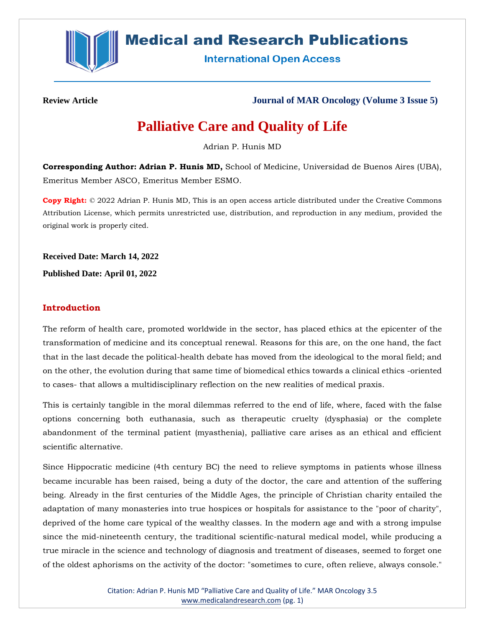

# **Medical and Research Publications**

**International Open Access** 

**Review Article Journal of MAR Oncology (Volume 3 Issue 5)**

# **Palliative Care and Quality of Life**

Adrian P. Hunis MD

**Corresponding Author: Adrian P. Hunis MD,** School of Medicine, Universidad de Buenos Aires (UBA), Emeritus Member ASCO, Emeritus Member ESMO.

**Copy Right:** © 2022 Adrian P. Hunis MD, This is an open access article distributed under the Creative Commons Attribution License, which permits unrestricted use, distribution, and reproduction in any medium, provided the original work is properly cited.

**Received Date: March 14, 2022 Published Date: April 01, 2022**

# **Introduction**

The reform of health care, promoted worldwide in the sector, has placed ethics at the epicenter of the transformation of medicine and its conceptual renewal. Reasons for this are, on the one hand, the fact that in the last decade the political-health debate has moved from the ideological to the moral field; and on the other, the evolution during that same time of biomedical ethics towards a clinical ethics -oriented to cases- that allows a multidisciplinary reflection on the new realities of medical praxis.

This is certainly tangible in the moral dilemmas referred to the end of life, where, faced with the false options concerning both euthanasia, such as therapeutic cruelty (dysphasia) or the complete abandonment of the terminal patient (myasthenia), palliative care arises as an ethical and efficient scientific alternative.

Since Hippocratic medicine (4th century BC) the need to relieve symptoms in patients whose illness became incurable has been raised, being a duty of the doctor, the care and attention of the suffering being. Already in the first centuries of the Middle Ages, the principle of Christian charity entailed the adaptation of many monasteries into true hospices or hospitals for assistance to the "poor of charity", deprived of the home care typical of the wealthy classes. In the modern age and with a strong impulse since the mid-nineteenth century, the traditional scientific-natural medical model, while producing a true miracle in the science and technology of diagnosis and treatment of diseases, seemed to forget one of the oldest aphorisms on the activity of the doctor: "sometimes to cure, often relieve, always console."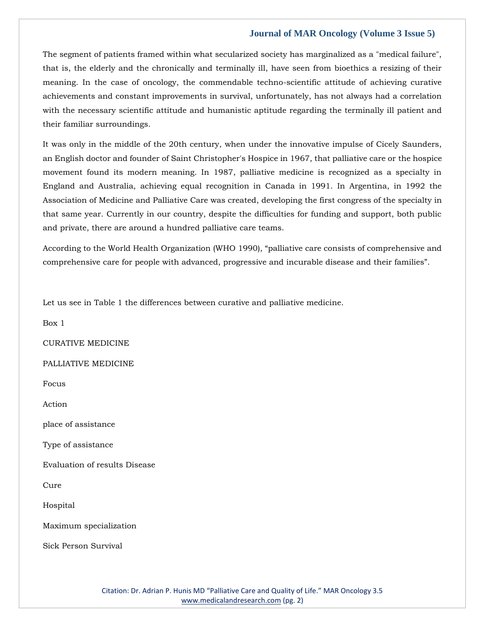The segment of patients framed within what secularized society has marginalized as a "medical failure", that is, the elderly and the chronically and terminally ill, have seen from bioethics a resizing of their meaning. In the case of oncology, the commendable techno-scientific attitude of achieving curative achievements and constant improvements in survival, unfortunately, has not always had a correlation with the necessary scientific attitude and humanistic aptitude regarding the terminally ill patient and their familiar surroundings.

It was only in the middle of the 20th century, when under the innovative impulse of Cicely Saunders, an English doctor and founder of Saint Christopher's Hospice in 1967, that palliative care or the hospice movement found its modern meaning. In 1987, palliative medicine is recognized as a specialty in England and Australia, achieving equal recognition in Canada in 1991. In Argentina, in 1992 the Association of Medicine and Palliative Care was created, developing the first congress of the specialty in that same year. Currently in our country, despite the difficulties for funding and support, both public and private, there are around a hundred palliative care teams.

According to the World Health Organization (WHO 1990), "palliative care consists of comprehensive and comprehensive care for people with advanced, progressive and incurable disease and their families".

Let us see in Table 1 the differences between curative and palliative medicine.

Box 1

CURATIVE MEDICINE

#### PALLIATIVE MEDICINE

Focus

Action

place of assistance

Type of assistance

Evaluation of results Disease

Cure

Hospital

Maximum specialization

Sick Person Survival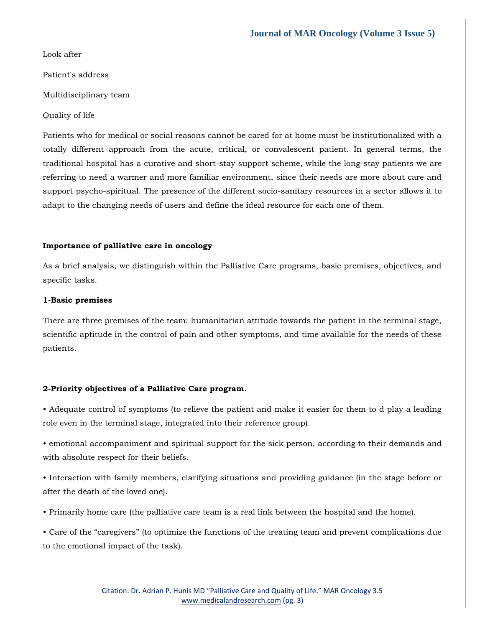Look after

Patient's address

Multidisciplinary team

Quality of life

Patients who for medical or social reasons cannot be cared for at home must be institutionalized with a totally different approach from the acute, critical, or convalescent patient. In general terms, the traditional hospital has a curative and short-stay support scheme, while the long-stay patients we are referring to need a warmer and more familiar environment, since their needs are more about care and support psycho-spiritual. The presence of the different socio-sanitary resources in a sector allows it to adapt to the changing needs of users and define the ideal resource for each one of them.

#### **Importance of palliative care in oncology**

As a brief analysis, we distinguish within the Palliative Care programs, basic premises, objectives, and specific tasks.

#### **1-Basic premises**

There are three premises of the team: humanitarian attitude towards the patient in the terminal stage, scientific aptitude in the control of pain and other symptoms, and time available for the needs of these patients.

#### **2-Priority objectives of a Palliative Care program.**

• Adequate control of symptoms (to relieve the patient and make it easier for them to d play a leading role even in the terminal stage, integrated into their reference group).

• emotional accompaniment and spiritual support for the sick person, according to their demands and with absolute respect for their beliefs.

• Interaction with family members, clarifying situations and providing guidance (in the stage before or after the death of the loved one).

• Primarily home care (the palliative care team is a real link between the hospital and the home).

• Care of the "caregivers" (to optimize the functions of the treating team and prevent complications due to the emotional impact of the task).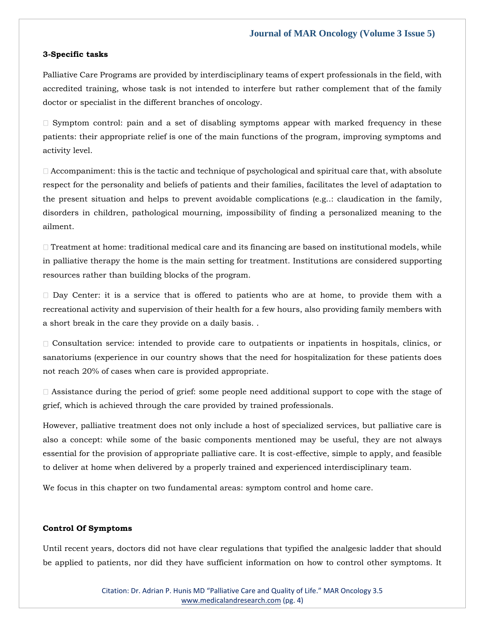#### **3-Specific tasks**

Palliative Care Programs are provided by interdisciplinary teams of expert professionals in the field, with accredited training, whose task is not intended to interfere but rather complement that of the family doctor or specialist in the different branches of oncology.

 $\Box$  Symptom control: pain and a set of disabling symptoms appear with marked frequency in these patients: their appropriate relief is one of the main functions of the program, improving symptoms and activity level.

 $\Box$  Accompaniment: this is the tactic and technique of psychological and spiritual care that, with absolute respect for the personality and beliefs of patients and their families, facilitates the level of adaptation to the present situation and helps to prevent avoidable complications (e.g..: claudication in the family, disorders in children, pathological mourning, impossibility of finding a personalized meaning to the ailment.

 $\Box$  Treatment at home: traditional medical care and its financing are based on institutional models, while in palliative therapy the home is the main setting for treatment. Institutions are considered supporting resources rather than building blocks of the program.

 $\square$  Day Center: it is a service that is offered to patients who are at home, to provide them with a recreational activity and supervision of their health for a few hours, also providing family members with a short break in the care they provide on a daily basis. .

Consultation service: intended to provide care to outpatients or inpatients in hospitals, clinics, or sanatoriums (experience in our country shows that the need for hospitalization for these patients does not reach 20% of cases when care is provided appropriate.

 $\Box$  Assistance during the period of grief: some people need additional support to cope with the stage of grief, which is achieved through the care provided by trained professionals.

However, palliative treatment does not only include a host of specialized services, but palliative care is also a concept: while some of the basic components mentioned may be useful, they are not always essential for the provision of appropriate palliative care. It is cost-effective, simple to apply, and feasible to deliver at home when delivered by a properly trained and experienced interdisciplinary team.

We focus in this chapter on two fundamental areas: symptom control and home care.

#### **Control Of Symptoms**

Until recent years, doctors did not have clear regulations that typified the analgesic ladder that should be applied to patients, nor did they have sufficient information on how to control other symptoms. It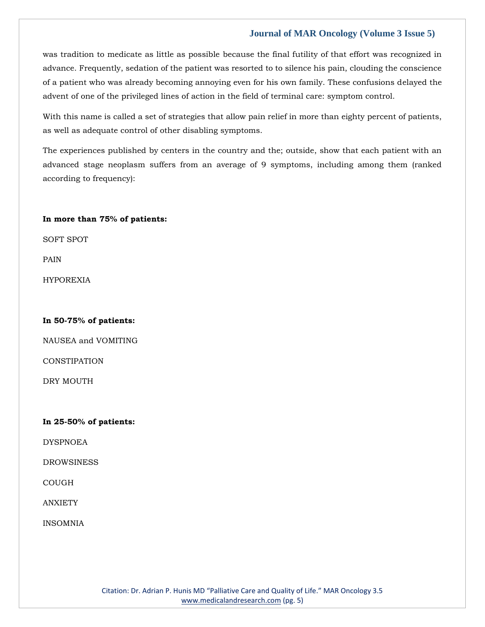was tradition to medicate as little as possible because the final futility of that effort was recognized in advance. Frequently, sedation of the patient was resorted to to silence his pain, clouding the conscience of a patient who was already becoming annoying even for his own family. These confusions delayed the advent of one of the privileged lines of action in the field of terminal care: symptom control.

With this name is called a set of strategies that allow pain relief in more than eighty percent of patients, as well as adequate control of other disabling symptoms.

The experiences published by centers in the country and the; outside, show that each patient with an advanced stage neoplasm suffers from an average of 9 symptoms, including among them (ranked according to frequency):

#### **In more than 75% of patients:**

SOFT SPOT

PAIN

HYPOREXIA

#### **In 50-75% of patients:**

NAUSEA and VOMITING

**CONSTIPATION** 

DRY MOUTH

#### **In 25-50% of patients:**

**DYSPNOEA** 

DROWSINESS

COUGH

ANXIETY

INSOMNIA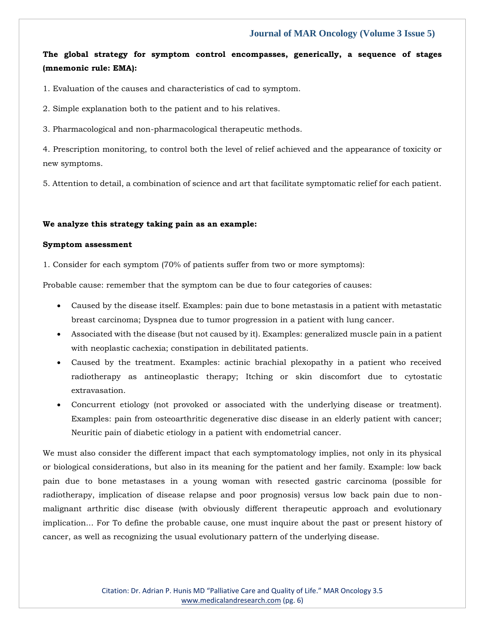# **The global strategy for symptom control encompasses, generically, a sequence of stages (mnemonic rule: EMA):**

1. Evaluation of the causes and characteristics of cad to symptom.

2. Simple explanation both to the patient and to his relatives.

3. Pharmacological and non-pharmacological therapeutic methods.

4. Prescription monitoring, to control both the level of relief achieved and the appearance of toxicity or new symptoms.

5. Attention to detail, a combination of science and art that facilitate symptomatic relief for each patient.

#### **We analyze this strategy taking pain as an example:**

#### **Symptom assessment**

1. Consider for each symptom (70% of patients suffer from two or more symptoms):

Probable cause: remember that the symptom can be due to four categories of causes:

- Caused by the disease itself. Examples: pain due to bone metastasis in a patient with metastatic breast carcinoma; Dyspnea due to tumor progression in a patient with lung cancer.
- Associated with the disease (but not caused by it). Examples: generalized muscle pain in a patient with neoplastic cachexia; constipation in debilitated patients.
- Caused by the treatment. Examples: actinic brachial plexopathy in a patient who received radiotherapy as antineoplastic therapy; Itching or skin discomfort due to cytostatic extravasation.
- Concurrent etiology (not provoked or associated with the underlying disease or treatment). Examples: pain from osteoarthritic degenerative disc disease in an elderly patient with cancer; Neuritic pain of diabetic etiology in a patient with endometrial cancer.

We must also consider the different impact that each symptomatology implies, not only in its physical or biological considerations, but also in its meaning for the patient and her family. Example: low back pain due to bone metastases in a young woman with resected gastric carcinoma (possible for radiotherapy, implication of disease relapse and poor prognosis) versus low back pain due to nonmalignant arthritic disc disease (with obviously different therapeutic approach and evolutionary implication... For To define the probable cause, one must inquire about the past or present history of cancer, as well as recognizing the usual evolutionary pattern of the underlying disease.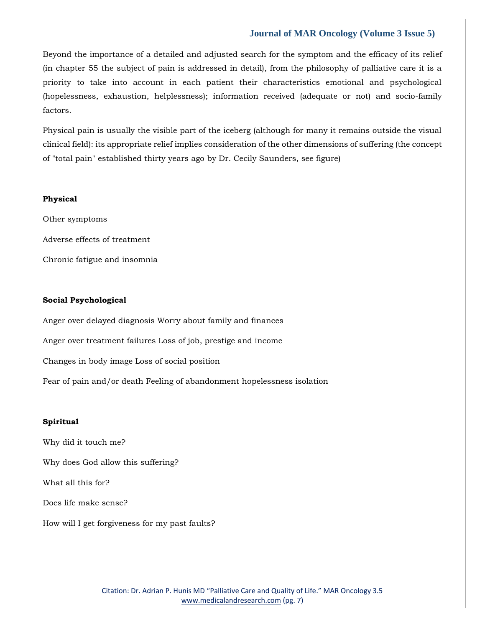Beyond the importance of a detailed and adjusted search for the symptom and the efficacy of its relief (in chapter 55 the subject of pain is addressed in detail), from the philosophy of palliative care it is a priority to take into account in each patient their characteristics emotional and psychological (hopelessness, exhaustion, helplessness); information received (adequate or not) and socio-family factors.

Physical pain is usually the visible part of the iceberg (although for many it remains outside the visual clinical field): its appropriate relief implies consideration of the other dimensions of suffering (the concept of "total pain" established thirty years ago by Dr. Cecily Saunders, see figure)

#### **Physical**

Other symptoms Adverse effects of treatment Chronic fatigue and insomnia

#### **Social Psychological**

Anger over delayed diagnosis Worry about family and finances Anger over treatment failures Loss of job, prestige and income Changes in body image Loss of social position Fear of pain and/or death Feeling of abandonment hopelessness isolation

#### **Spiritual**

Why did it touch me? Why does God allow this suffering? What all this for? Does life make sense? How will I get forgiveness for my past faults?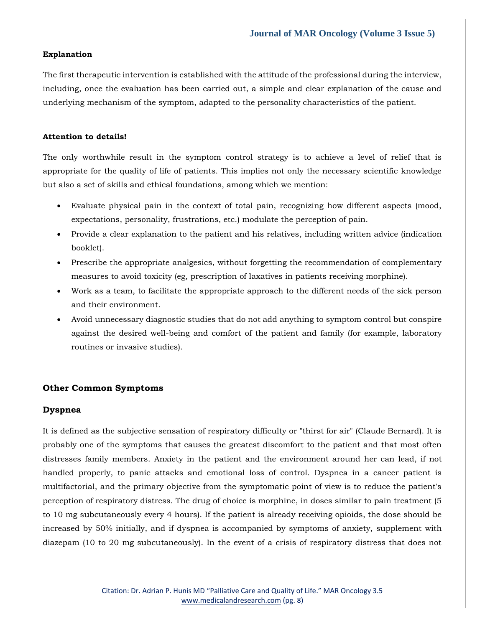#### **Explanation**

The first therapeutic intervention is established with the attitude of the professional during the interview, including, once the evaluation has been carried out, a simple and clear explanation of the cause and underlying mechanism of the symptom, adapted to the personality characteristics of the patient.

#### **Attention to details!**

The only worthwhile result in the symptom control strategy is to achieve a level of relief that is appropriate for the quality of life of patients. This implies not only the necessary scientific knowledge but also a set of skills and ethical foundations, among which we mention:

- Evaluate physical pain in the context of total pain, recognizing how different aspects (mood, expectations, personality, frustrations, etc.) modulate the perception of pain.
- Provide a clear explanation to the patient and his relatives, including written advice (indication booklet).
- Prescribe the appropriate analgesics, without forgetting the recommendation of complementary measures to avoid toxicity (eg, prescription of laxatives in patients receiving morphine).
- Work as a team, to facilitate the appropriate approach to the different needs of the sick person and their environment.
- Avoid unnecessary diagnostic studies that do not add anything to symptom control but conspire against the desired well-being and comfort of the patient and family (for example, laboratory routines or invasive studies).

#### **Other Common Symptoms**

#### **Dyspnea**

It is defined as the subjective sensation of respiratory difficulty or "thirst for air" (Claude Bernard). It is probably one of the symptoms that causes the greatest discomfort to the patient and that most often distresses family members. Anxiety in the patient and the environment around her can lead, if not handled properly, to panic attacks and emotional loss of control. Dyspnea in a cancer patient is multifactorial, and the primary objective from the symptomatic point of view is to reduce the patient's perception of respiratory distress. The drug of choice is morphine, in doses similar to pain treatment (5 to 10 mg subcutaneously every 4 hours). If the patient is already receiving opioids, the dose should be increased by 50% initially, and if dyspnea is accompanied by symptoms of anxiety, supplement with diazepam (10 to 20 mg subcutaneously). In the event of a crisis of respiratory distress that does not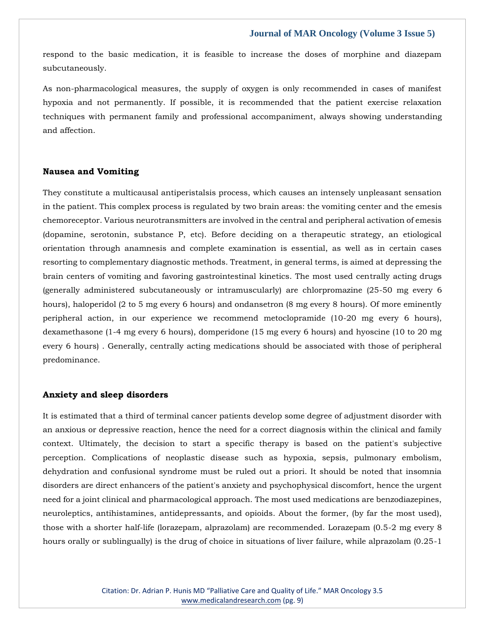respond to the basic medication, it is feasible to increase the doses of morphine and diazepam subcutaneously.

As non-pharmacological measures, the supply of oxygen is only recommended in cases of manifest hypoxia and not permanently. If possible, it is recommended that the patient exercise relaxation techniques with permanent family and professional accompaniment, always showing understanding and affection.

#### **Nausea and Vomiting**

They constitute a multicausal antiperistalsis process, which causes an intensely unpleasant sensation in the patient. This complex process is regulated by two brain areas: the vomiting center and the emesis chemoreceptor. Various neurotransmitters are involved in the central and peripheral activation of emesis (dopamine, serotonin, substance P, etc). Before deciding on a therapeutic strategy, an etiological orientation through anamnesis and complete examination is essential, as well as in certain cases resorting to complementary diagnostic methods. Treatment, in general terms, is aimed at depressing the brain centers of vomiting and favoring gastrointestinal kinetics. The most used centrally acting drugs (generally administered subcutaneously or intramuscularly) are chlorpromazine (25-50 mg every 6 hours), haloperidol (2 to 5 mg every 6 hours) and ondansetron (8 mg every 8 hours). Of more eminently peripheral action, in our experience we recommend metoclopramide (10-20 mg every 6 hours), dexamethasone (1-4 mg every 6 hours), domperidone (15 mg every 6 hours) and hyoscine (10 to 20 mg every 6 hours) . Generally, centrally acting medications should be associated with those of peripheral predominance.

#### **Anxiety and sleep disorders**

It is estimated that a third of terminal cancer patients develop some degree of adjustment disorder with an anxious or depressive reaction, hence the need for a correct diagnosis within the clinical and family context. Ultimately, the decision to start a specific therapy is based on the patient's subjective perception. Complications of neoplastic disease such as hypoxia, sepsis, pulmonary embolism, dehydration and confusional syndrome must be ruled out a priori. It should be noted that insomnia disorders are direct enhancers of the patient's anxiety and psychophysical discomfort, hence the urgent need for a joint clinical and pharmacological approach. The most used medications are benzodiazepines, neuroleptics, antihistamines, antidepressants, and opioids. About the former, (by far the most used), those with a shorter half-life (lorazepam, alprazolam) are recommended. Lorazepam (0.5-2 mg every 8 hours orally or sublingually) is the drug of choice in situations of liver failure, while alprazolam (0.25-1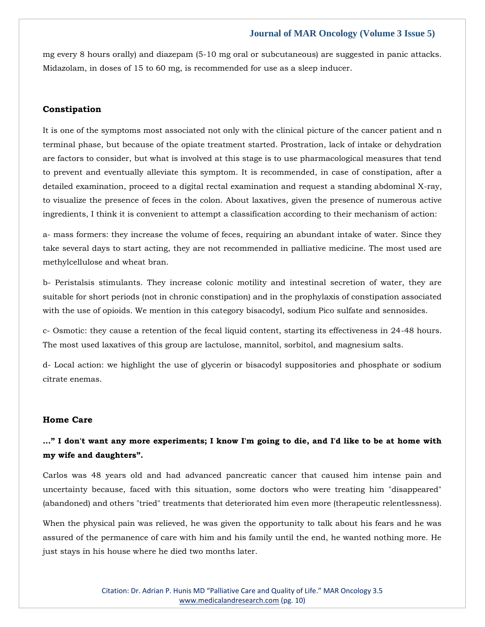mg every 8 hours orally) and diazepam (5-10 mg oral or subcutaneous) are suggested in panic attacks. Midazolam, in doses of 15 to 60 mg, is recommended for use as a sleep inducer.

# **Constipation**

It is one of the symptoms most associated not only with the clinical picture of the cancer patient and n terminal phase, but because of the opiate treatment started. Prostration, lack of intake or dehydration are factors to consider, but what is involved at this stage is to use pharmacological measures that tend to prevent and eventually alleviate this symptom. It is recommended, in case of constipation, after a detailed examination, proceed to a digital rectal examination and request a standing abdominal X-ray, to visualize the presence of feces in the colon. About laxatives, given the presence of numerous active ingredients, I think it is convenient to attempt a classification according to their mechanism of action:

a- mass formers: they increase the volume of feces, requiring an abundant intake of water. Since they take several days to start acting, they are not recommended in palliative medicine. The most used are methylcellulose and wheat bran.

b- Peristalsis stimulants. They increase colonic motility and intestinal secretion of water, they are suitable for short periods (not in chronic constipation) and in the prophylaxis of constipation associated with the use of opioids. We mention in this category bisacodyl, sodium Pico sulfate and sennosides.

c- Osmotic: they cause a retention of the fecal liquid content, starting its effectiveness in 24-48 hours. The most used laxatives of this group are lactulose, mannitol, sorbitol, and magnesium salts.

d- Local action: we highlight the use of glycerin or bisacodyl suppositories and phosphate or sodium citrate enemas.

#### **Home Care**

# **..." I don't want any more experiments; I know I'm going to die, and I'd like to be at home with my wife and daughters".**

Carlos was 48 years old and had advanced pancreatic cancer that caused him intense pain and uncertainty because, faced with this situation, some doctors who were treating him "disappeared" (abandoned) and others "tried" treatments that deteriorated him even more (therapeutic relentlessness).

When the physical pain was relieved, he was given the opportunity to talk about his fears and he was assured of the permanence of care with him and his family until the end, he wanted nothing more. He just stays in his house where he died two months later.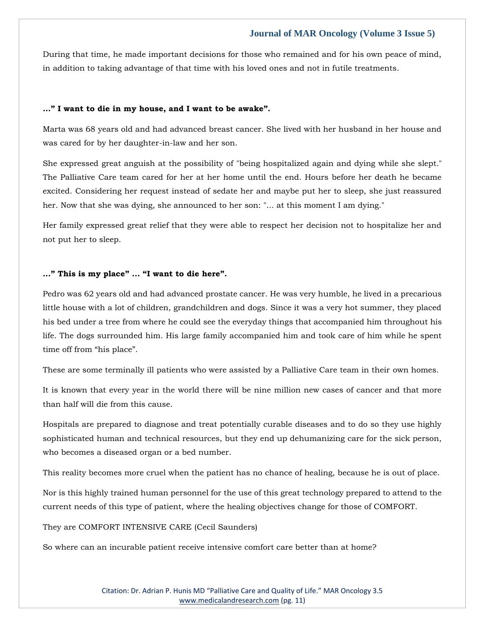During that time, he made important decisions for those who remained and for his own peace of mind, in addition to taking advantage of that time with his loved ones and not in futile treatments.

#### **..." I want to die in my house, and I want to be awake".**

Marta was 68 years old and had advanced breast cancer. She lived with her husband in her house and was cared for by her daughter-in-law and her son.

She expressed great anguish at the possibility of "being hospitalized again and dying while she slept." The Palliative Care team cared for her at her home until the end. Hours before her death he became excited. Considering her request instead of sedate her and maybe put her to sleep, she just reassured her. Now that she was dying, she announced to her son: "... at this moment I am dying."

Her family expressed great relief that they were able to respect her decision not to hospitalize her and not put her to sleep.

#### **..." This is my place" ... "I want to die here".**

Pedro was 62 years old and had advanced prostate cancer. He was very humble, he lived in a precarious little house with a lot of children, grandchildren and dogs. Since it was a very hot summer, they placed his bed under a tree from where he could see the everyday things that accompanied him throughout his life. The dogs surrounded him. His large family accompanied him and took care of him while he spent time off from "his place".

These are some terminally ill patients who were assisted by a Palliative Care team in their own homes.

It is known that every year in the world there will be nine million new cases of cancer and that more than half will die from this cause.

Hospitals are prepared to diagnose and treat potentially curable diseases and to do so they use highly sophisticated human and technical resources, but they end up dehumanizing care for the sick person, who becomes a diseased organ or a bed number.

This reality becomes more cruel when the patient has no chance of healing, because he is out of place.

Nor is this highly trained human personnel for the use of this great technology prepared to attend to the current needs of this type of patient, where the healing objectives change for those of COMFORT.

They are COMFORT INTENSIVE CARE (Cecil Saunders)

So where can an incurable patient receive intensive comfort care better than at home?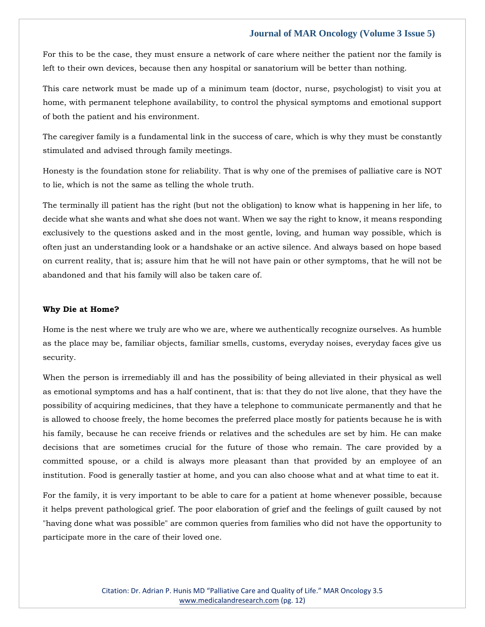For this to be the case, they must ensure a network of care where neither the patient nor the family is left to their own devices, because then any hospital or sanatorium will be better than nothing.

This care network must be made up of a minimum team (doctor, nurse, psychologist) to visit you at home, with permanent telephone availability, to control the physical symptoms and emotional support of both the patient and his environment.

The caregiver family is a fundamental link in the success of care, which is why they must be constantly stimulated and advised through family meetings.

Honesty is the foundation stone for reliability. That is why one of the premises of palliative care is NOT to lie, which is not the same as telling the whole truth.

The terminally ill patient has the right (but not the obligation) to know what is happening in her life, to decide what she wants and what she does not want. When we say the right to know, it means responding exclusively to the questions asked and in the most gentle, loving, and human way possible, which is often just an understanding look or a handshake or an active silence. And always based on hope based on current reality, that is; assure him that he will not have pain or other symptoms, that he will not be abandoned and that his family will also be taken care of.

#### **Why Die at Home?**

Home is the nest where we truly are who we are, where we authentically recognize ourselves. As humble as the place may be, familiar objects, familiar smells, customs, everyday noises, everyday faces give us security.

When the person is irremediably ill and has the possibility of being alleviated in their physical as well as emotional symptoms and has a half continent, that is: that they do not live alone, that they have the possibility of acquiring medicines, that they have a telephone to communicate permanently and that he is allowed to choose freely, the home becomes the preferred place mostly for patients because he is with his family, because he can receive friends or relatives and the schedules are set by him. He can make decisions that are sometimes crucial for the future of those who remain. The care provided by a committed spouse, or a child is always more pleasant than that provided by an employee of an institution. Food is generally tastier at home, and you can also choose what and at what time to eat it.

For the family, it is very important to be able to care for a patient at home whenever possible, because it helps prevent pathological grief. The poor elaboration of grief and the feelings of guilt caused by not "having done what was possible" are common queries from families who did not have the opportunity to participate more in the care of their loved one.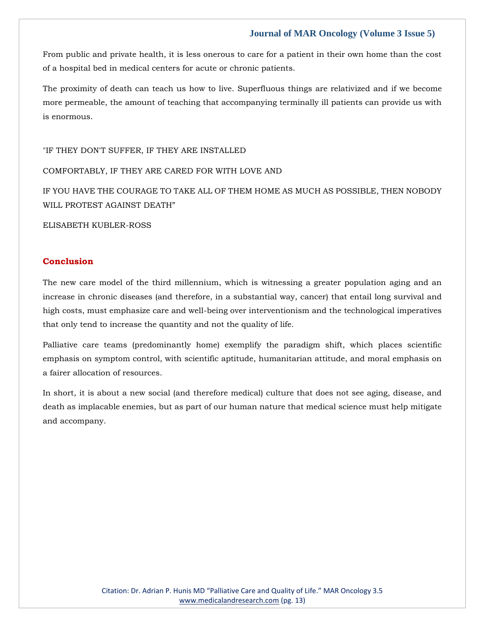From public and private health, it is less onerous to care for a patient in their own home than the cost of a hospital bed in medical centers for acute or chronic patients.

The proximity of death can teach us how to live. Superfluous things are relativized and if we become more permeable, the amount of teaching that accompanying terminally ill patients can provide us with is enormous.

"IF THEY DON'T SUFFER, IF THEY ARE INSTALLED

#### COMFORTABLY, IF THEY ARE CARED FOR WITH LOVE AND

IF YOU HAVE THE COURAGE TO TAKE ALL OF THEM HOME AS MUCH AS POSSIBLE, THEN NOBODY WILL PROTEST AGAINST DEATH"

ELISABETH KUBLER-ROSS

# **Conclusion**

The new care model of the third millennium, which is witnessing a greater population aging and an increase in chronic diseases (and therefore, in a substantial way, cancer) that entail long survival and high costs, must emphasize care and well-being over interventionism and the technological imperatives that only tend to increase the quantity and not the quality of life.

Palliative care teams (predominantly home) exemplify the paradigm shift, which places scientific emphasis on symptom control, with scientific aptitude, humanitarian attitude, and moral emphasis on a fairer allocation of resources.

In short, it is about a new social (and therefore medical) culture that does not see aging, disease, and death as implacable enemies, but as part of our human nature that medical science must help mitigate and accompany.